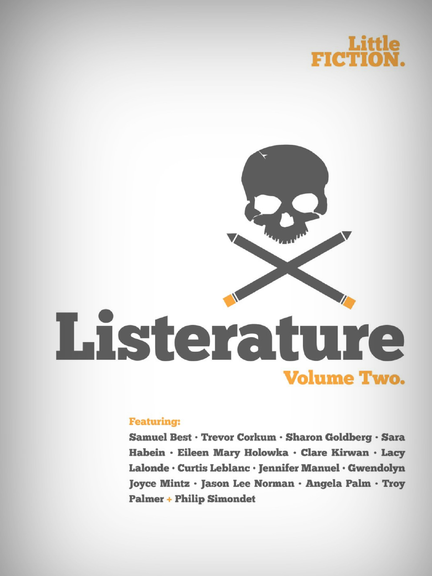

# Listerature **Volume Two.**

#### **Featuring:**

Samuel Best · Trevor Corkum · Sharon Goldberg · Sara Habein · Eileen Mary Holowka · Clare Kirwan · Lacy Lalonde · Curtis Leblanc · Jennifer Manuel · Gwendolyn Joyce Mintz · Jason Lee Norman · Angela Palm · Troy **Palmer + Philip Simondet**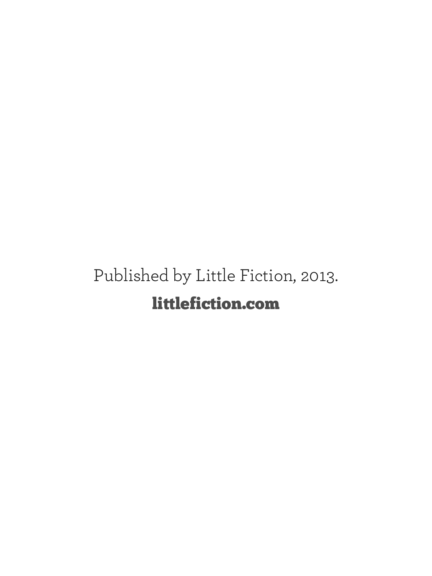## Published by Little Fiction, 2013. [littlefiction.com](http://www.littlefiction.com)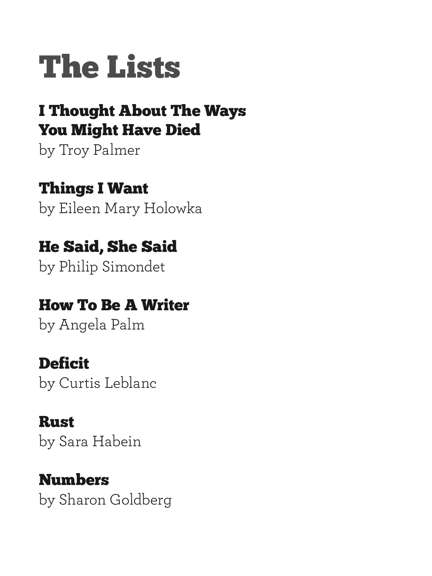# The Lists

#### [I Thought About The Ways](#page-4-0)  [You Might Have Died](#page-4-0)

by Troy Palmer

[Things I Want](#page-7-0) by Eileen Mary Holowka

## [He Said, She Said](#page-11-0)

by Philip Simondet

## [How To Be A Writer](#page-18-0)

by Angela Palm

### **[Deficit](#page-22-0)**

by Curtis Leblanc

#### [Rust](#page-24-0)

by Sara Habein

# [Numbers](#page-30-0)

by Sharon Goldberg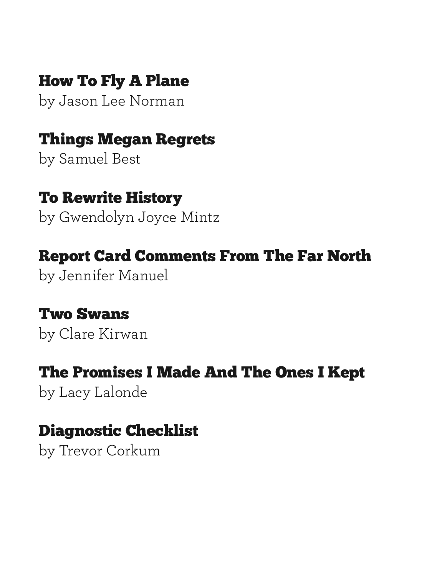#### [How To Fly A Plane](#page-32-0)

by Jason Lee Norman

[Things Megan Regrets](#page-38-0) by Samuel Best

[To Rewrite History](#page-40-0) by Gwendolyn Joyce Mintz

## [Report Card Comments From The Far North](#page-44-0)

by Jennifer Manuel

[Two Swans](#page-57-0) by Clare Kirwan

#### [The Promises I Made And The Ones I Kept](#page-65-0)

by Lacy Lalonde

#### [Diagnostic Checklist](#page-71-0)

by Trevor Corkum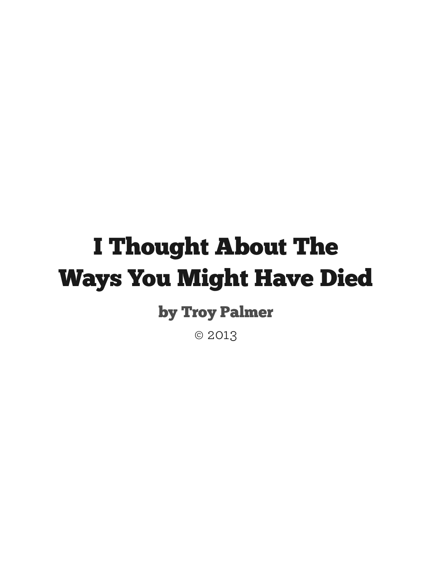# <span id="page-4-0"></span>I Thought About The Ways You Might Have Died

by Troy Palmer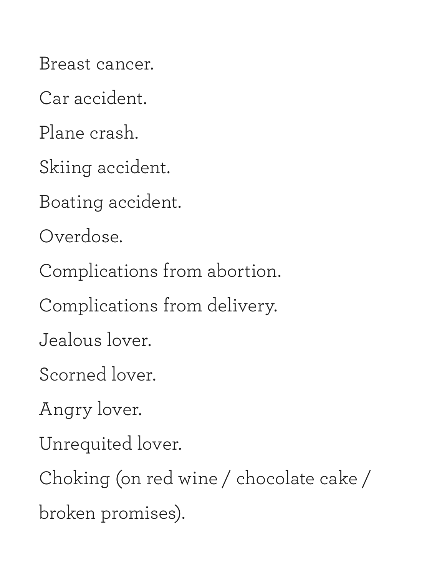Breast cancer.

Car accident.

Plane crash.

Skiing accident.

Boating accident.

Overdose.

Complications from abortion.

Complications from delivery.

Jealous lover.

Scorned lover.

Angry lover.

Unrequited lover.

Choking (on red wine / chocolate cake / broken promises).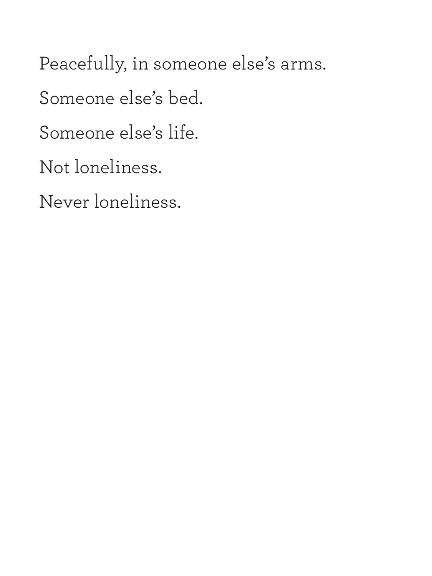Peacefully, in someone else's arms.

Someone else's bed.

Someone else's life.

Not loneliness.

Never loneliness.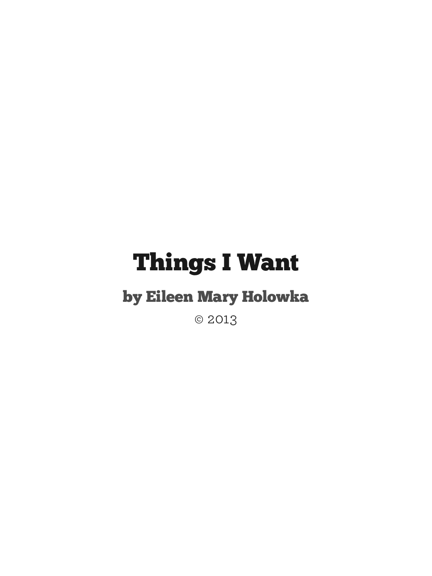# <span id="page-7-0"></span>Things I Want

## by Eileen Mary Holowka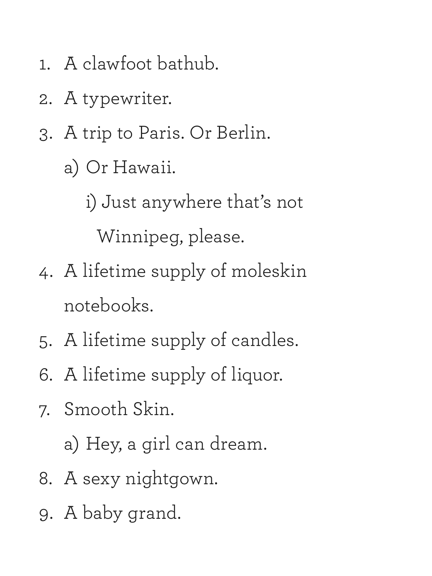- 1. A clawfoot bathub.
- 2. A typewriter.
- 3. A trip to Paris. Or Berlin.
	- a) Or Hawaii.

 i) Just anywhere that's not Winnipeg, please.

- 4. A lifetime supply of moleskin notebooks.
- 5. A lifetime supply of candles.
- 6. A lifetime supply of liquor.
- 7. Smooth Skin.

a) Hey, a girl can dream.

- 8. A sexy nightgown.
- 9. A baby grand.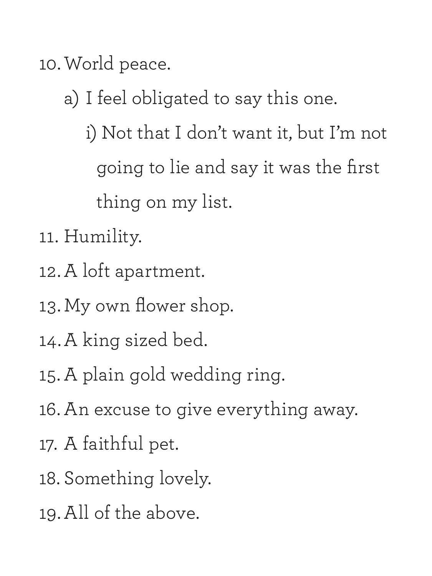10. World peace.

a) I feel obligated to say this one.

 i) Not that I don't want it, but I'm not going to lie and say it was the first thing on my list.

- 11. Humility.
- 12. A loft apartment.
- 13. My own flower shop.
- 14.A king sized bed.
- 15. A plain gold wedding ring.
- 16. An excuse to give everything away.
- 17. A faithful pet.
- 18. Something lovely.
- 19. All of the above.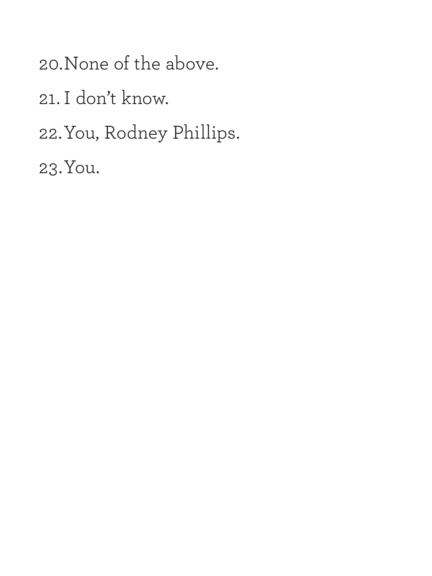20.None of the above. 21. I don't know. 22.You, Rodney Phillips. 23.You.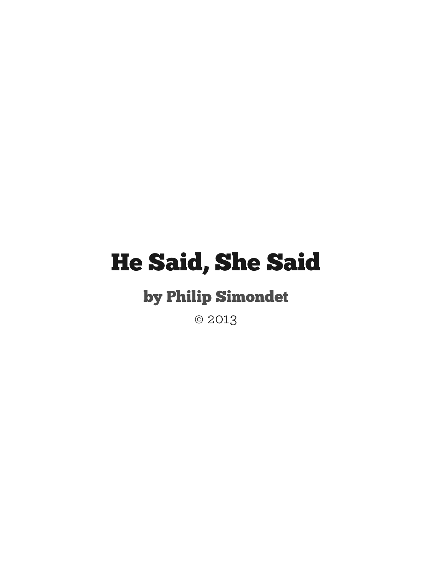# <span id="page-11-0"></span>He Said, She Said

#### by Philip Simondet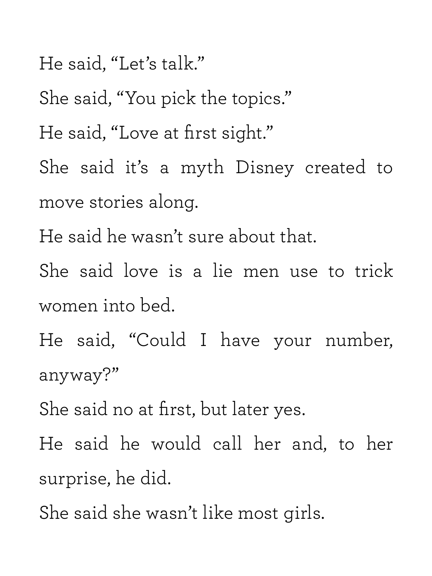He said, "Let's talk." She said, "You pick the topics." He said, "Love at first sight." She said it's a myth Disney created to move stories along. He said he wasn't sure about that. She said love is a lie men use to trick women into bed. He said, "Could I have your number, anyway?" She said no at first, but later yes. He said he would call her and, to her surprise, he did. She said she wasn't like most girls.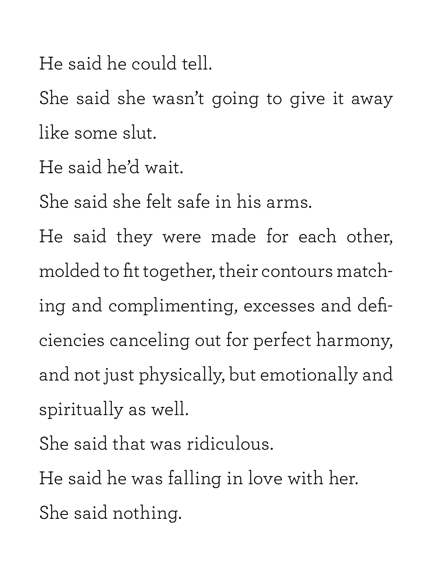He said he could tell.

She said she wasn't going to give it away like some slut.

He said he'd wait.

She said she felt safe in his arms.

He said they were made for each other, molded to fit together, their contours matching and complimenting, excesses and deficiencies canceling out for perfect harmony, and not just physically, but emotionally and spiritually as well.

She said that was ridiculous.

He said he was falling in love with her. She said nothing.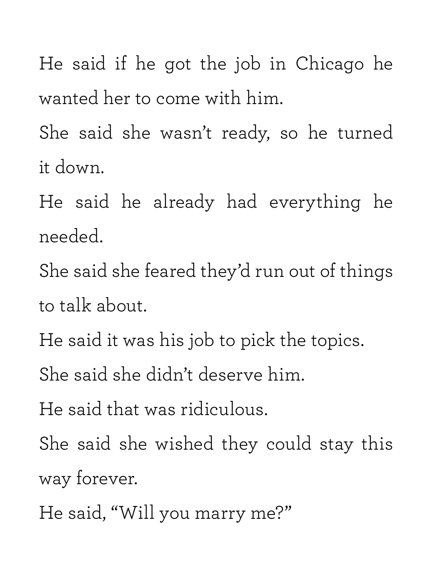He said if he got the job in Chicago he wanted her to come with him.

She said she wasn't ready, so he turned it down.

He said he already had everything he needed.

She said she feared they'd run out of things to talk about.

He said it was his job to pick the topics.

She said she didn't deserve him.

He said that was ridiculous.

She said she wished they could stay this way forever.

He said, "Will you marry me?"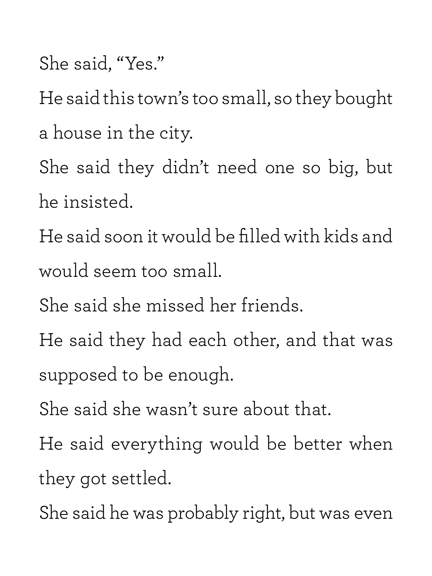She said, "Yes."

He said this town's too small, so they bought a house in the city.

She said they didn't need one so big, but he insisted.

He said soon it would be filled with kids and would seem too small.

She said she missed her friends.

He said they had each other, and that was supposed to be enough.

She said she wasn't sure about that.

He said everything would be better when they got settled.

She said he was probably right, but was even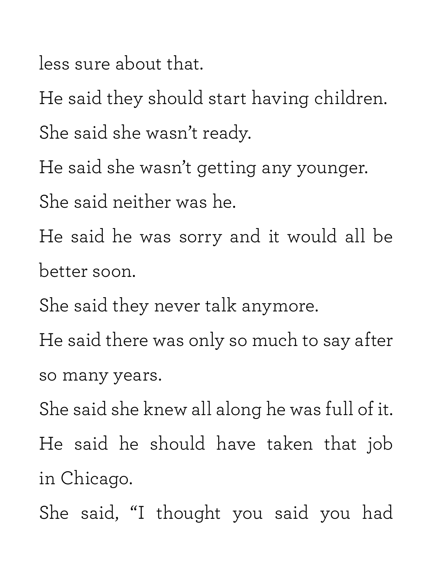less sure about that.

He said they should start having children. She said she wasn't ready.

He said she wasn't getting any younger.

She said neither was he.

He said he was sorry and it would all be better soon.

She said they never talk anymore.

He said there was only so much to say after so many years.

She said she knew all along he was full of it.

He said he should have taken that job in Chicago.

She said, "I thought you said you had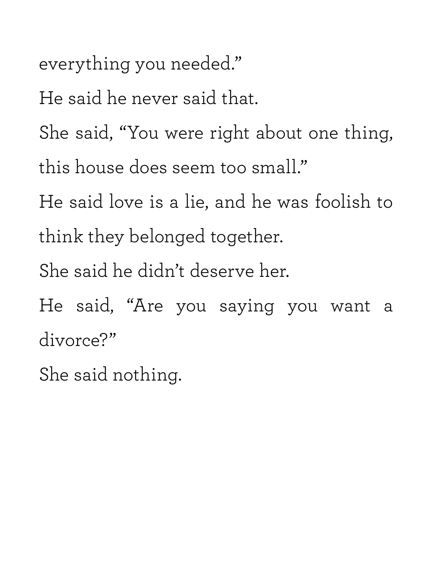everything you needed."

He said he never said that.

She said, "You were right about one thing, this house does seem too small."

He said love is a lie, and he was foolish to think they belonged together.

She said he didn't deserve her.

He said, "Are you saying you want a divorce?"

She said nothing.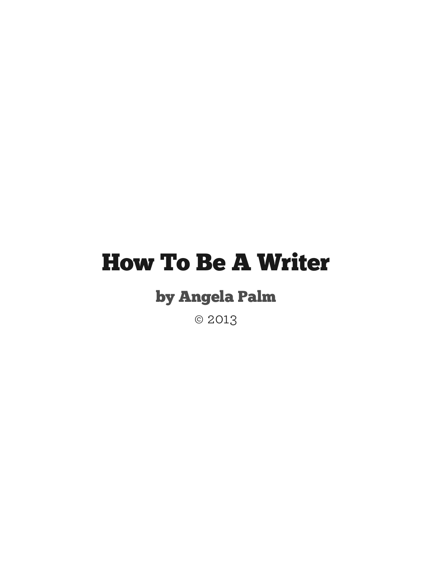# <span id="page-18-0"></span>How To Be A Writer

#### by Angela Palm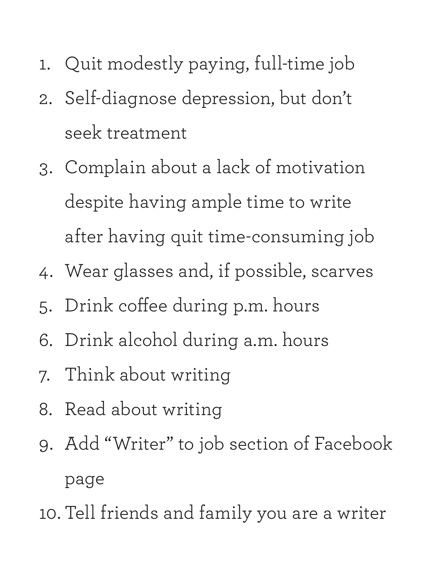- 1. Quit modestly paying, full-time job
- 2. Self-diagnose depression, but don't seek treatment
- 3. Complain about a lack of motivation despite having ample time to write after having quit time-consuming job
- 4. Wear glasses and, if possible, scarves
- 5. Drink coffee during p.m. hours
- 6. Drink alcohol during a.m. hours
- 7. Think about writing
- 8. Read about writing
- 9. Add "Writer" to job section of Facebook page
- 10. Tell friends and family you are a writer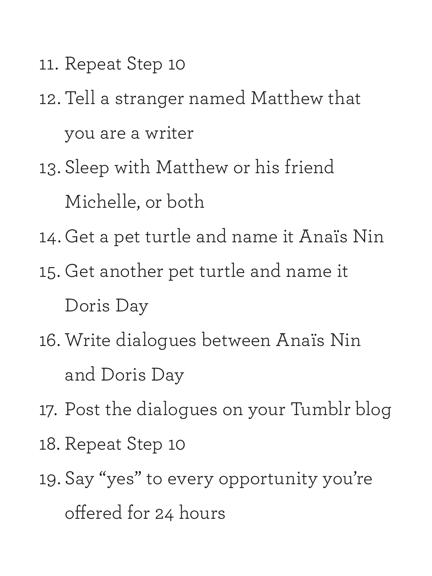- 11. Repeat Step 10
- 12. Tell a stranger named Matthew that you are a writer
- 13. Sleep with Matthew or his friend Michelle, or both
- 14. Get a pet turtle and name it Anaïs Nin
- 15. Get another pet turtle and name it Doris Day
- 16. Write dialogues between Anaïs Nin and Doris Day
- 17. Post the dialogues on your Tumblr blog
- 18. Repeat Step 10
- 19. Say "yes" to every opportunity you're offered for 24 hours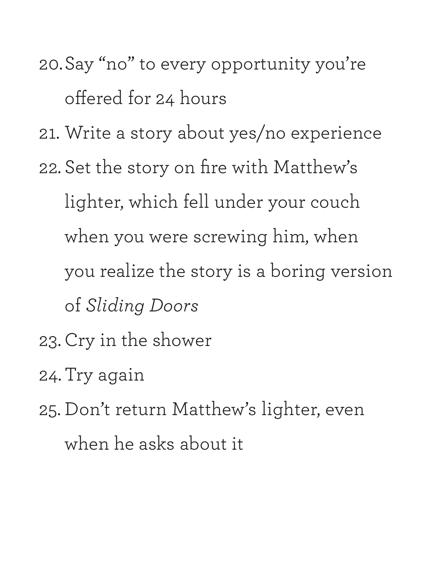# 20.Say "no" to every opportunity you're offered for 24 hours

- 21. Write a story about yes/no experience
- 22. Set the story on fire with Matthew's lighter, which fell under your couch when you were screwing him, when you realize the story is a boring version of *Sliding Doors*
- 23. Cry in the shower
- 24.Try again
- 25. Don't return Matthew's lighter, even when he asks about it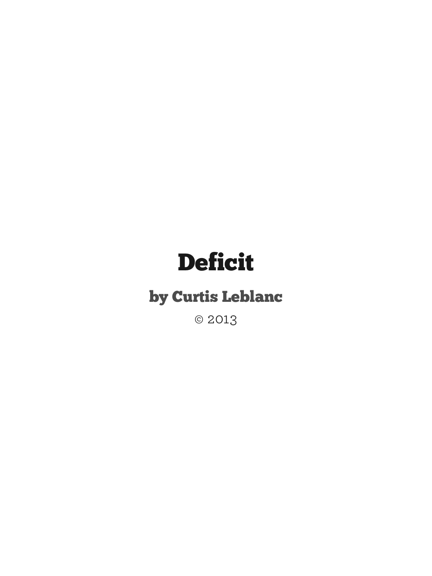# <span id="page-22-0"></span>Deficit

## by Curtis Leblanc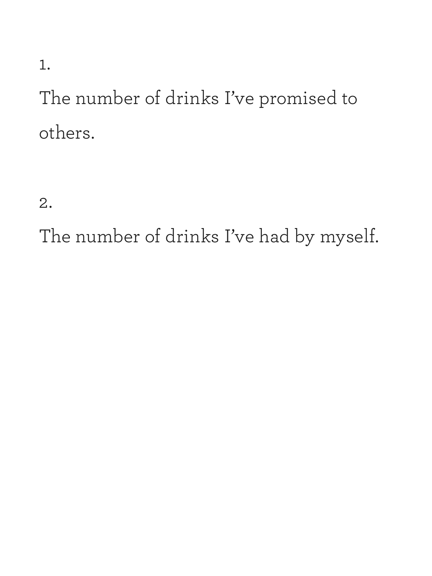1.

# The number of drinks I've promised to others.

2.

The number of drinks I've had by myself.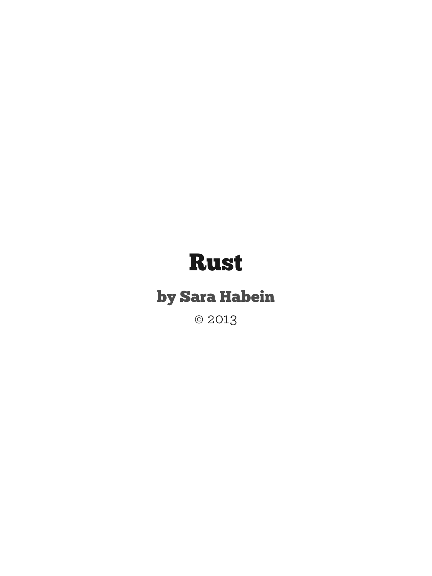# <span id="page-24-0"></span>Rust

#### by Sara Habein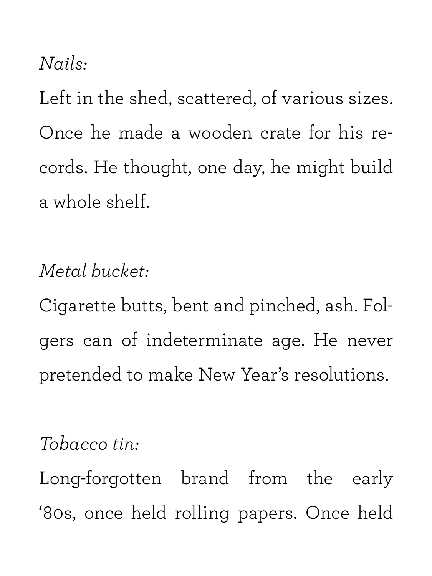## *Nails:*

Left in the shed, scattered, of various sizes. Once he made a wooden crate for his records. He thought, one day, he might build a whole shelf.

## *Metal bucket:*

Cigarette butts, bent and pinched, ash. Folgers can of indeterminate age. He never pretended to make New Year's resolutions.

*Tobacco tin:*

Long-forgotten brand from the early '80s, once held rolling papers. Once held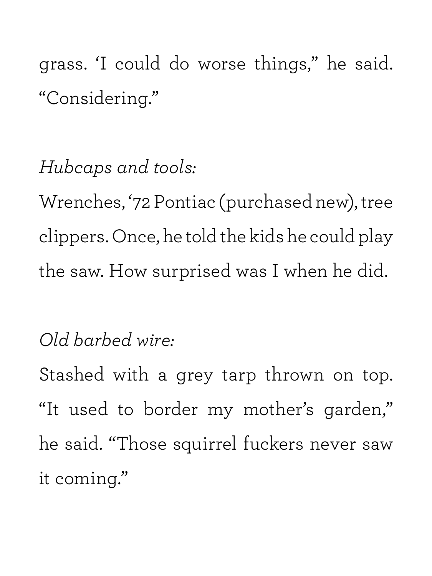grass. 'I could do worse things," he said. "Considering."

*Hubcaps and tools:* 

Wrenches, '72 Pontiac (purchased new), tree clippers. Once, he told the kids he could play the saw. How surprised was I when he did.

*Old barbed wire:* 

Stashed with a grey tarp thrown on top. "It used to border my mother's garden," he said. "Those squirrel fuckers never saw it coming."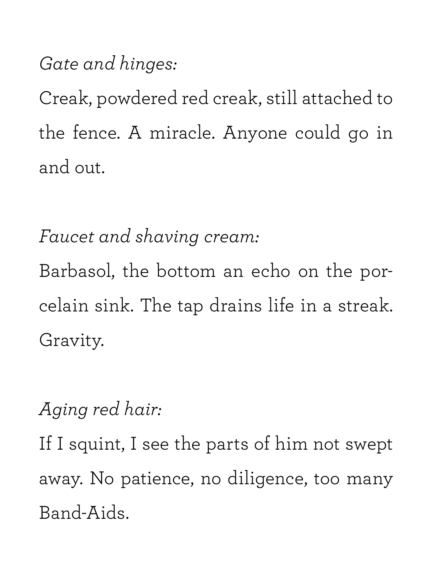## *Gate and hinges:*

Creak, powdered red creak, still attached to the fence. A miracle. Anyone could go in and out.

## *Faucet and shaving cream:*

Barbasol, the bottom an echo on the porcelain sink. The tap drains life in a streak. Gravity.

## *Aging red hair:*

If I squint, I see the parts of him not swept away. No patience, no diligence, too many Band-Aids.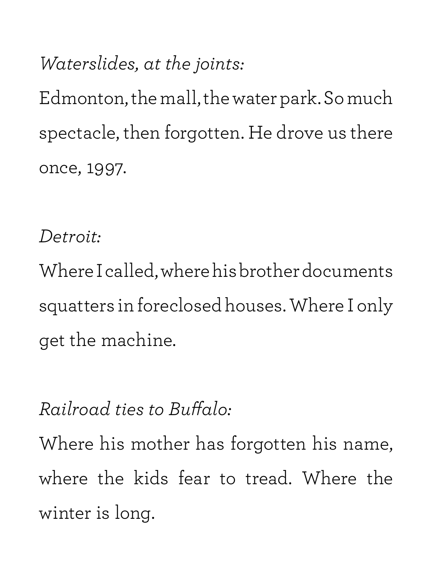*Waterslides, at the joints:* 

Edmonton, the mall, the water park. So much spectacle, then forgotten. He drove us there once, 1997.

*Detroit:* 

Where I called, where his brother documents squatters in foreclosed houses. Where I only get the machine.

*Railroad ties to Buffalo:* 

Where his mother has forgotten his name, where the kids fear to tread. Where the winter is long.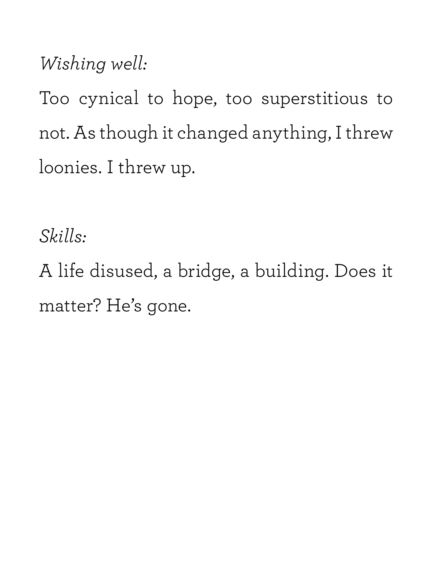## *Wishing well:*

Too cynical to hope, too superstitious to not. As though it changed anything, I threw loonies. I threw up.

*Skills:* 

A life disused, a bridge, a building. Does it matter? He's gone.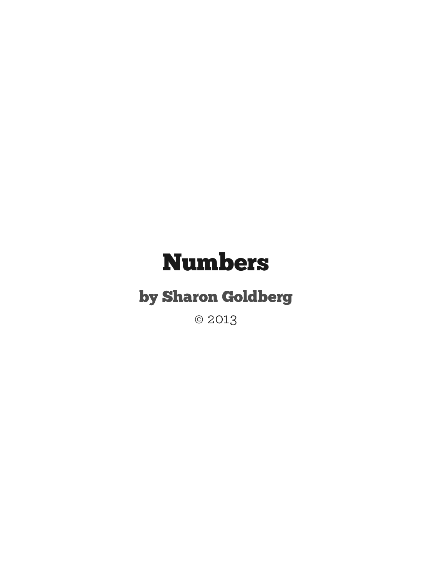# <span id="page-30-0"></span>Numbers

#### by Sharon Goldberg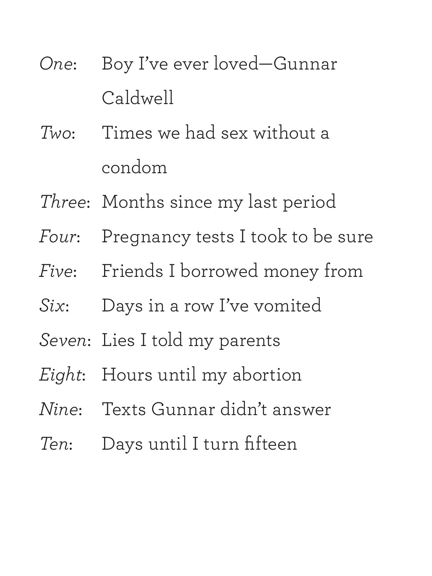- *One*: Boy I've ever loved—Gunnar Caldwell
- *Two*: Times we had sex without a condom
- *Three*: Months since my last period
- *Four*: Pregnancy tests I took to be sure
- *Five*: Friends I borrowed money from
- *Six*: Days in a row I've vomited
- *Seven*: Lies I told my parents
- *Eight*: Hours until my abortion
- *Nine*: Texts Gunnar didn't answer
- *Ten*: Days until I turn fifteen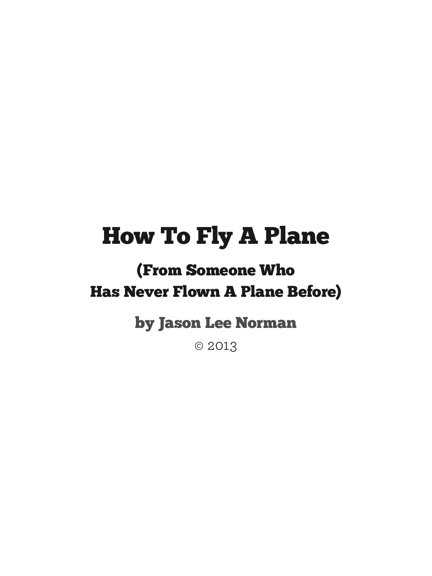# <span id="page-32-0"></span>How To Fly A Plane

## (From Someone Who Has Never Flown A Plane Before)

by Jason Lee Norman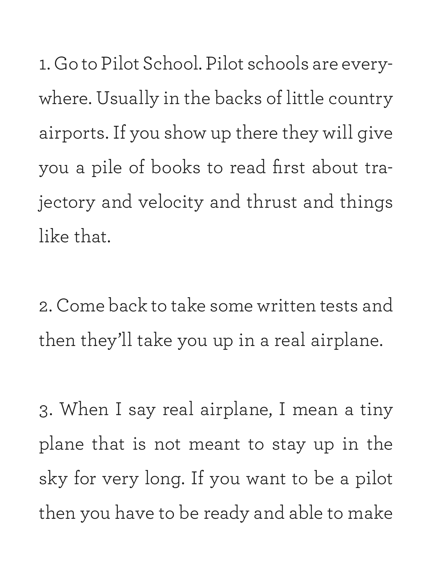1. Go to Pilot School. Pilot schools are everywhere. Usually in the backs of little country airports. If you show up there they will give you a pile of books to read first about trajectory and velocity and thrust and things like that.

2. Come back to take some written tests and then they'll take you up in a real airplane.

3. When I say real airplane, I mean a tiny plane that is not meant to stay up in the sky for very long. If you want to be a pilot then you have to be ready and able to make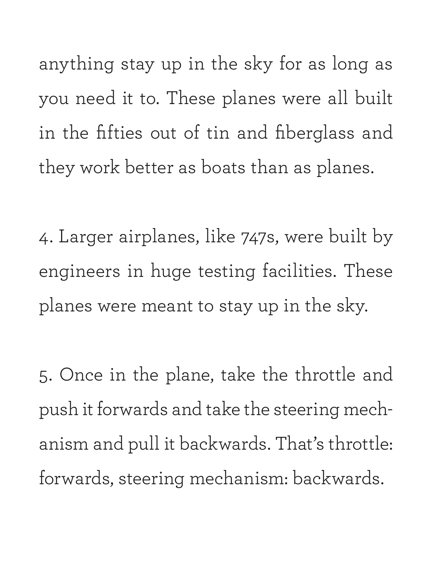anything stay up in the sky for as long as you need it to. These planes were all built in the fifties out of tin and fiberglass and they work better as boats than as planes.

4. Larger airplanes, like 747s, were built by engineers in huge testing facilities. These planes were meant to stay up in the sky.

5. Once in the plane, take the throttle and push it forwards and take the steering mechanism and pull it backwards. That's throttle: forwards, steering mechanism: backwards.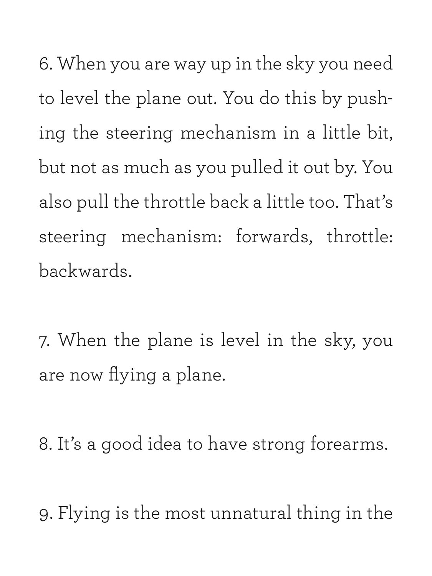6. When you are way up in the sky you need to level the plane out. You do this by pushing the steering mechanism in a little bit, but not as much as you pulled it out by. You also pull the throttle back a little too. That's steering mechanism: forwards, throttle: backwards.

7. When the plane is level in the sky, you are now flying a plane.

8. It's a good idea to have strong forearms.

9. Flying is the most unnatural thing in the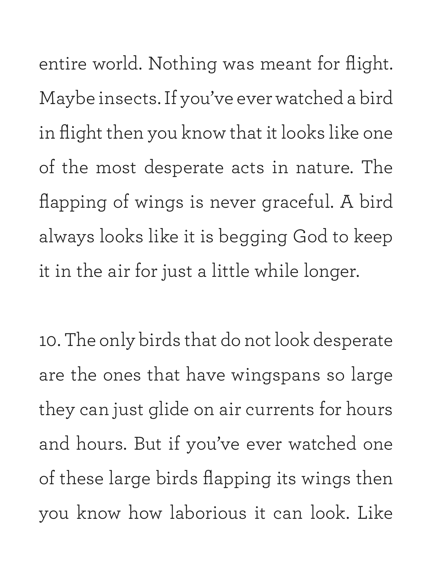entire world. Nothing was meant for flight. Maybe insects. If you've ever watched a bird in flight then you know that it looks like one of the most desperate acts in nature. The flapping of wings is never graceful. A bird always looks like it is begging God to keep it in the air for just a little while longer.

10. The only birds that do not look desperate are the ones that have wingspans so large they can just glide on air currents for hours and hours. But if you've ever watched one of these large birds flapping its wings then you know how laborious it can look. Like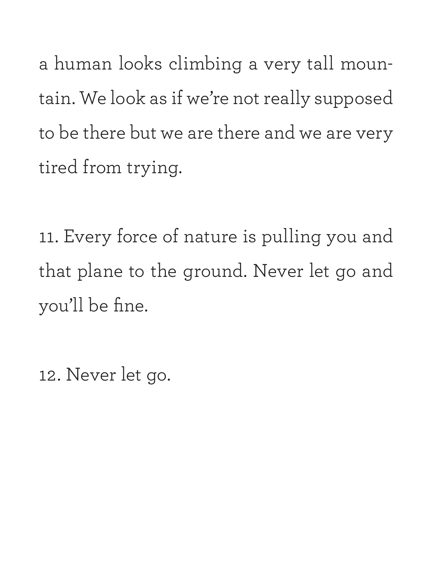a human looks climbing a very tall mountain. We look as if we're not really supposed to be there but we are there and we are very tired from trying.

11. Every force of nature is pulling you and that plane to the ground. Never let go and you'll be fine.

12. Never let go.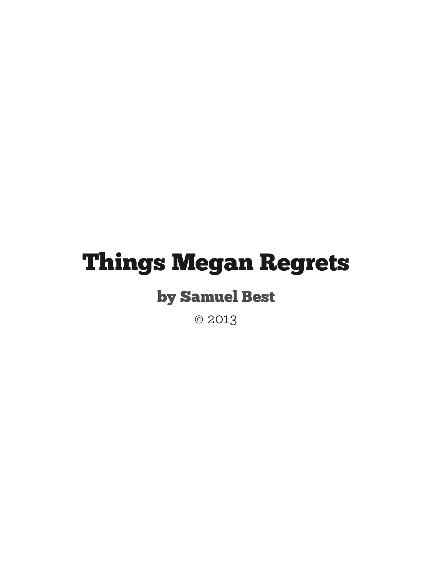# Things Megan Regrets

#### by Samuel Best

© 2013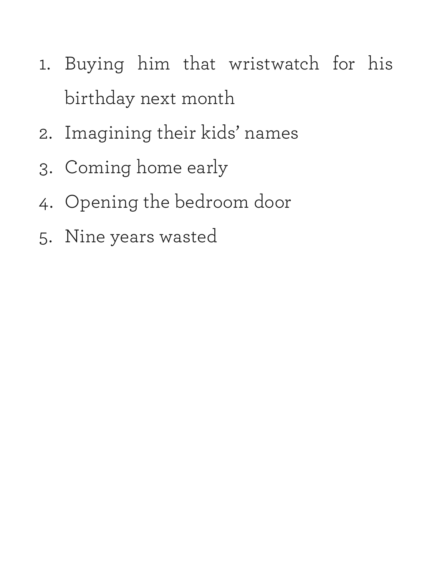- 1. Buying him that wristwatch for his birthday next month
- 2. Imagining their kids' names
- 3. Coming home early
- 4. Opening the bedroom door
- 5. Nine years wasted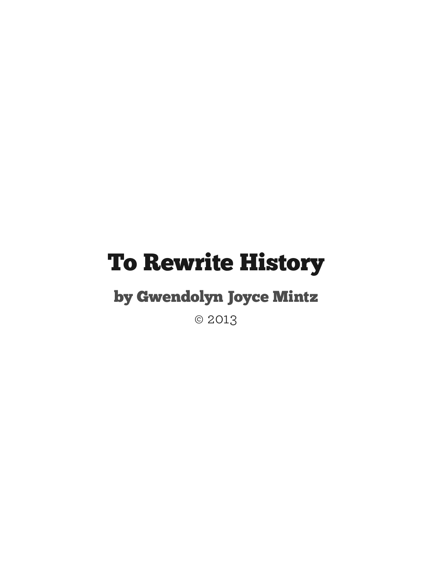# To Rewrite History

#### by Gwendolyn Joyce Mintz

© 2013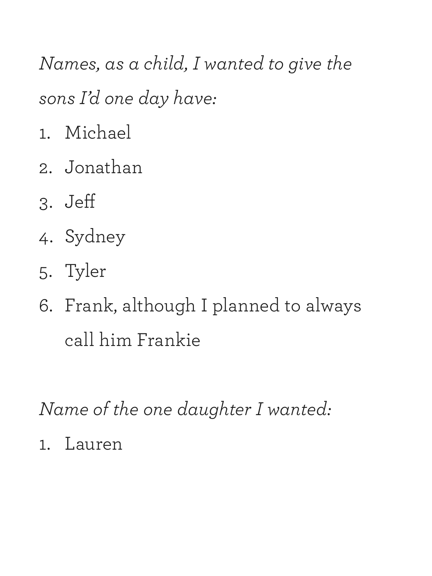*Names, as a child, I wanted to give the sons I'd one day have:*

- 1. Michael
- 2. Jonathan
- 3. Jeff
- 4. Sydney
- 5. Tyler
- 6. Frank, although I planned to always call him Frankie

*Name of the one daughter I wanted:*

1. Lauren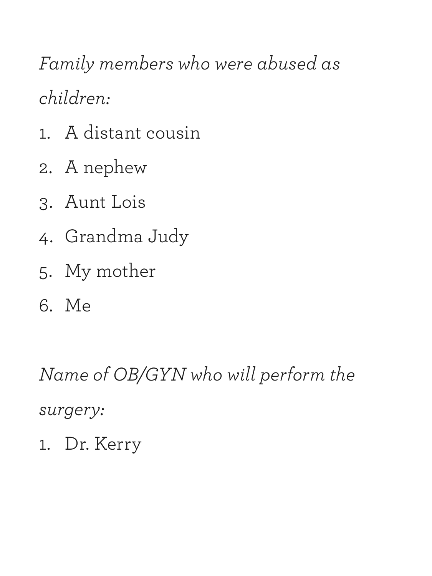*Family members who were abused as children:*

- 1. A distant cousin
- 2. A nephew
- 3. Aunt Lois
- 4. Grandma Judy
- 5. My mother
- 6. Me

*Name of OB/GYN who will perform the surgery:*

1. Dr. Kerry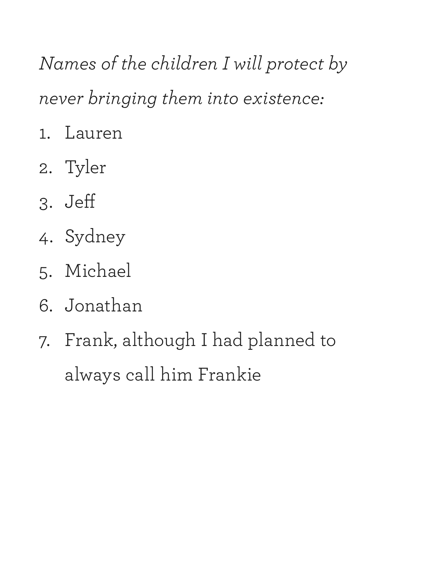*Names of the children I will protect by never bringing them into existence:*

- 1. Lauren
- 2. Tyler
- 3. Jeff
- 4. Sydney
- 5. Michael
- 6. Jonathan
- 7. Frank, although I had planned to always call him Frankie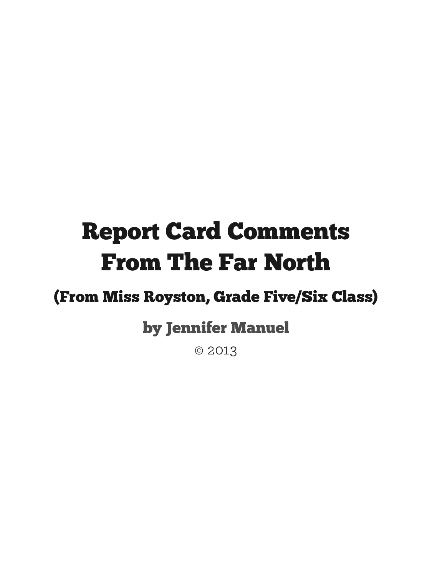# Report Card Comments From The Far North

#### (From Miss Royston, Grade Five/Six Class)

by Jennifer Manuel

© 2013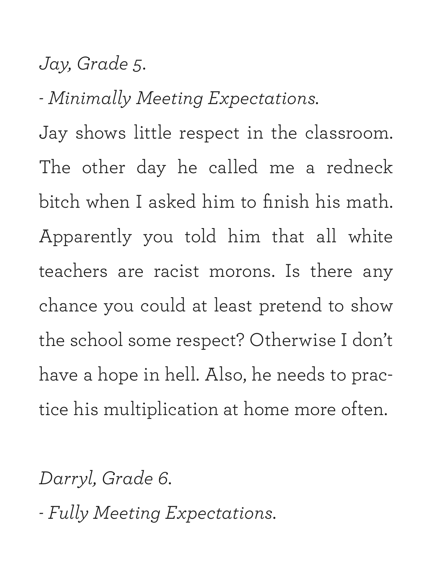# *Jay, Grade 5.*

*- Minimally Meeting Expectations.*

Jay shows little respect in the classroom. The other day he called me a redneck bitch when I asked him to finish his math. Apparently you told him that all white teachers are racist morons. Is there any chance you could at least pretend to show the school some respect? Otherwise I don't have a hope in hell. Also, he needs to practice his multiplication at home more often.

*Darryl, Grade 6.* 

*- Fully Meeting Expectations.*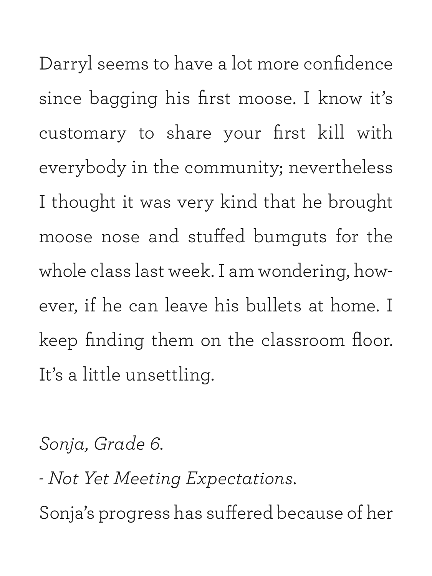Darryl seems to have a lot more confidence since bagging his first moose. I know it's customary to share your first kill with everybody in the community; nevertheless I thought it was very kind that he brought moose nose and stuffed bumguts for the whole class last week. I am wondering, however, if he can leave his bullets at home. I keep finding them on the classroom floor. It's a little unsettling.

*Sonja, Grade 6.* 

*- Not Yet Meeting Expectations.*

Sonja's progress has suffered because of her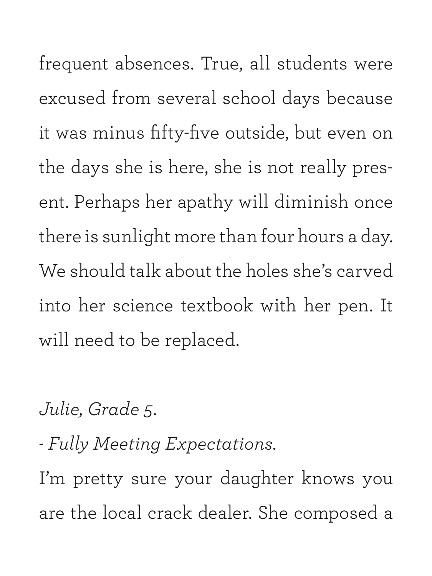frequent absences. True, all students were excused from several school days because it was minus fifty-five outside, but even on the days she is here, she is not really present. Perhaps her apathy will diminish once there is sunlight more than four hours a day. We should talk about the holes she's carved into her science textbook with her pen. It will need to be replaced.

*Julie, Grade 5.* 

*- Fully Meeting Expectations.*

I'm pretty sure your daughter knows you are the local crack dealer. She composed a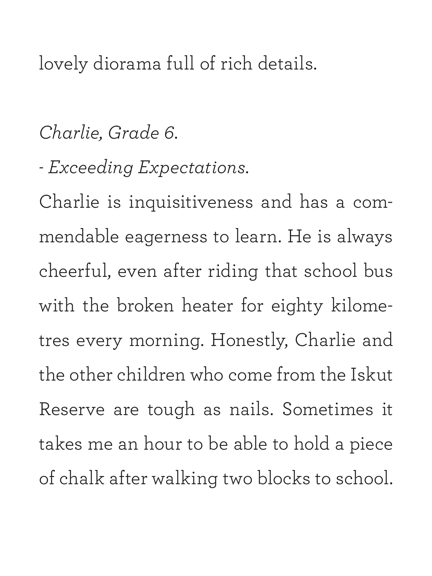lovely diorama full of rich details.

*Charlie, Grade 6.* 

*- Exceeding Expectations.*

Charlie is inquisitiveness and has a commendable eagerness to learn. He is always cheerful, even after riding that school bus with the broken heater for eighty kilometres every morning. Honestly, Charlie and the other children who come from the Iskut Reserve are tough as nails. Sometimes it takes me an hour to be able to hold a piece of chalk after walking two blocks to school.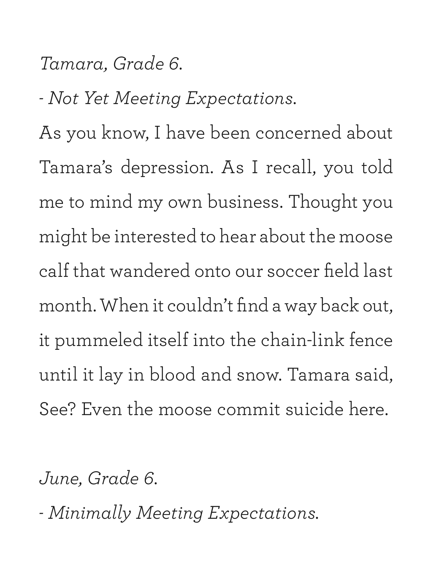### *Tamara, Grade 6.*

*- Not Yet Meeting Expectations.*

As you know, I have been concerned about Tamara's depression. As I recall, you told me to mind my own business. Thought you might be interested to hear about the moose calf that wandered onto our soccer field last month. When it couldn't find a way back out, it pummeled itself into the chain-link fence until it lay in blood and snow. Tamara said, See? Even the moose commit suicide here.

*June, Grade 6.* 

*- Minimally Meeting Expectations.*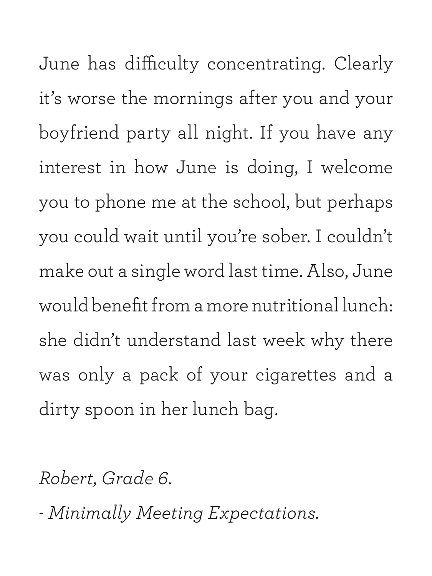June has difficulty concentrating. Clearly it's worse the mornings after you and your boyfriend party all night. If you have any interest in how June is doing, I welcome you to phone me at the school, but perhaps you could wait until you're sober. I couldn't make out a single word last time. Also, June would benefit from a more nutritional lunch: she didn't understand last week why there was only a pack of your cigarettes and a dirty spoon in her lunch bag.

*Robert, Grade 6.* 

*- Minimally Meeting Expectations.*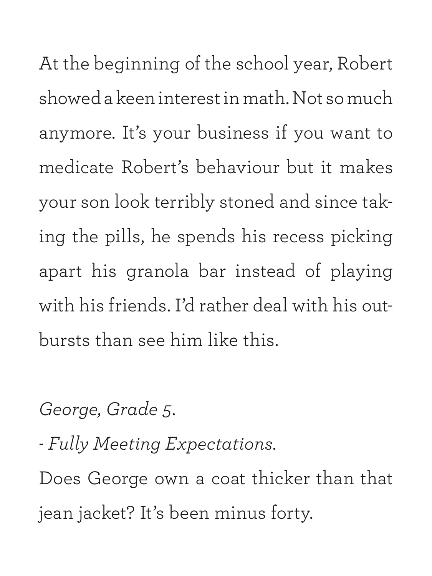At the beginning of the school year, Robert showed a keen interest in math. Not so much anymore. It's your business if you want to medicate Robert's behaviour but it makes your son look terribly stoned and since taking the pills, he spends his recess picking apart his granola bar instead of playing with his friends. I'd rather deal with his outbursts than see him like this.

*George, Grade 5.* 

*- Fully Meeting Expectations.*

Does George own a coat thicker than that jean jacket? It's been minus forty.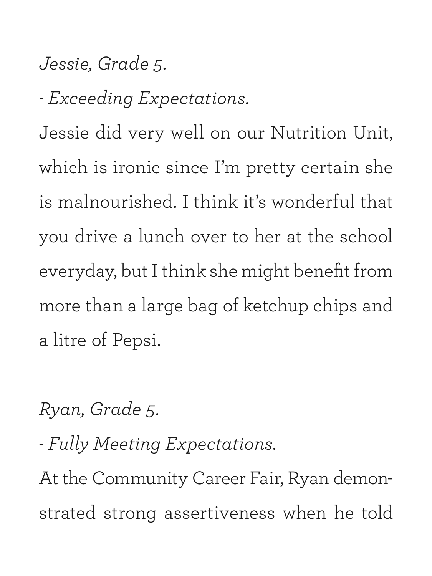## *Jessie, Grade 5.*

## *- Exceeding Expectations.*

Jessie did very well on our Nutrition Unit, which is ironic since I'm pretty certain she is malnourished. I think it's wonderful that you drive a lunch over to her at the school everyday, but I think she might benefit from more than a large bag of ketchup chips and a litre of Pepsi.

*Ryan, Grade 5.* 

*- Fully Meeting Expectations.*

At the Community Career Fair, Ryan demonstrated strong assertiveness when he told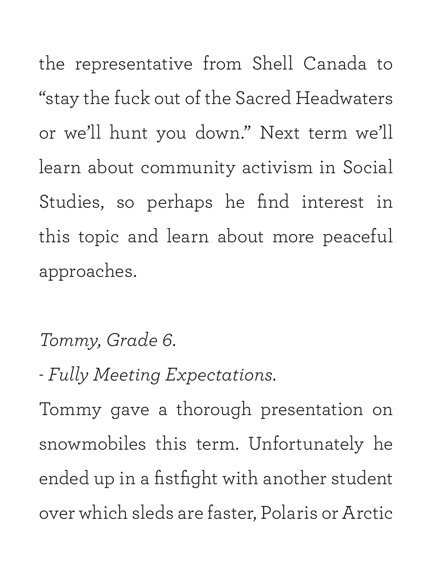the representative from Shell Canada to "stay the fuck out of the Sacred Headwaters or we'll hunt you down." Next term we'll learn about community activism in Social Studies, so perhaps he find interest in this topic and learn about more peaceful approaches.

*Tommy, Grade 6.* 

*- Fully Meeting Expectations.*

Tommy gave a thorough presentation on snowmobiles this term. Unfortunately he ended up in a fistfight with another student over which sleds are faster, Polaris or Arctic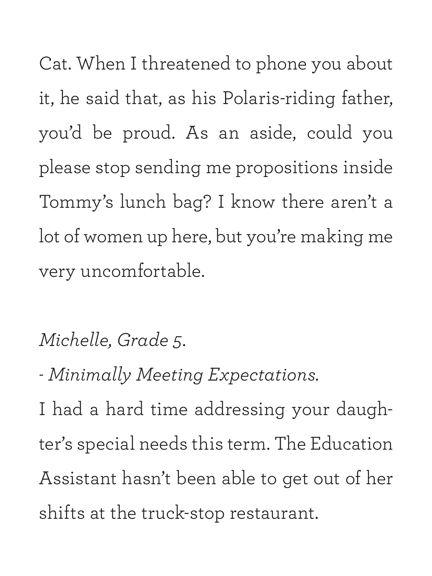Cat. When I threatened to phone you about it, he said that, as his Polaris-riding father, you'd be proud. As an aside, could you please stop sending me propositions inside Tommy's lunch bag? I know there aren't a lot of women up here, but you're making me very uncomfortable.

*Michelle, Grade 5.* 

*- Minimally Meeting Expectations.*

I had a hard time addressing your daughter's special needs this term. The Education Assistant hasn't been able to get out of her shifts at the truck-stop restaurant.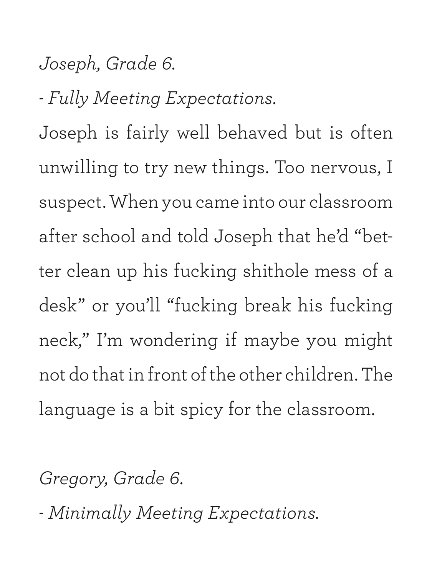# *Joseph, Grade 6.*

### *- Fully Meeting Expectations.*

Joseph is fairly well behaved but is often unwilling to try new things. Too nervous, I suspect. When you came into our classroom after school and told Joseph that he'd "better clean up his fucking shithole mess of a desk" or you'll "fucking break his fucking neck," I'm wondering if maybe you might not do that in front of the other children. The language is a bit spicy for the classroom.

*Gregory, Grade 6.* 

*- Minimally Meeting Expectations.*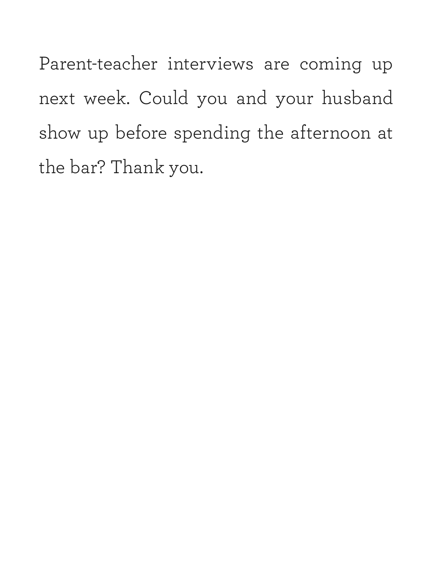Parent-teacher interviews are coming up next week. Could you and your husband show up before spending the afternoon at the bar? Thank you.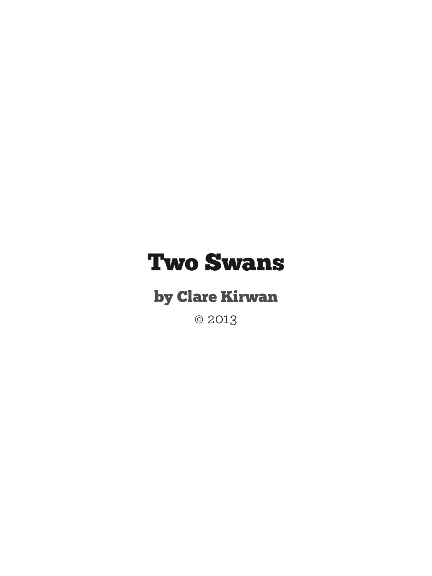# Two Swans

#### by Clare Kirwan

© 2013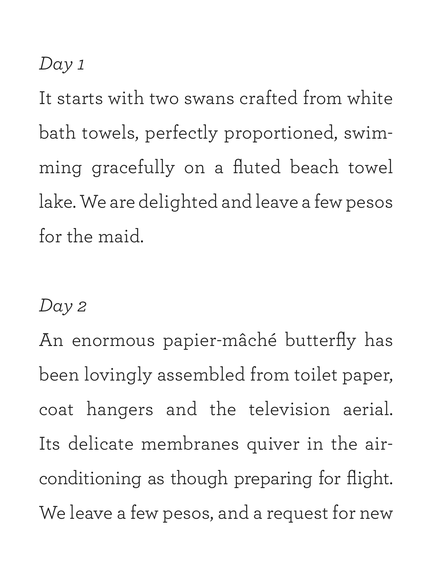#### *Day 1*

It starts with two swans crafted from white bath towels, perfectly proportioned, swimming gracefully on a fluted beach towel lake. We are delighted and leave a few pesos for the maid.

#### *Day 2*

An enormous papier-mâché butterfly has been lovingly assembled from toilet paper, coat hangers and the television aerial. Its delicate membranes quiver in the airconditioning as though preparing for flight. We leave a few pesos, and a request for new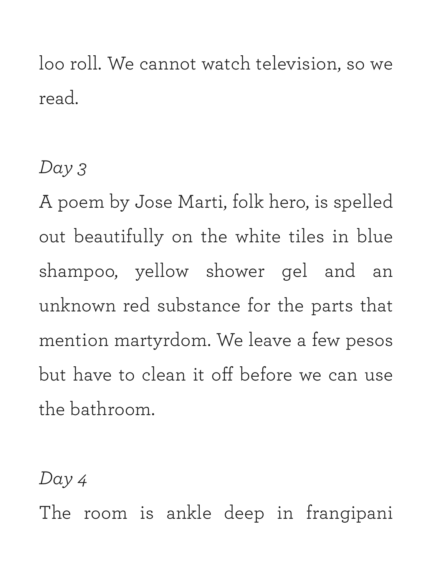loo roll. We cannot watch television, so we read.

### *Day 3*

A poem by Jose Marti, folk hero, is spelled out beautifully on the white tiles in blue shampoo, yellow shower gel and an unknown red substance for the parts that mention martyrdom. We leave a few pesos but have to clean it off before we can use the bathroom.

*Day 4*

The room is ankle deep in frangipani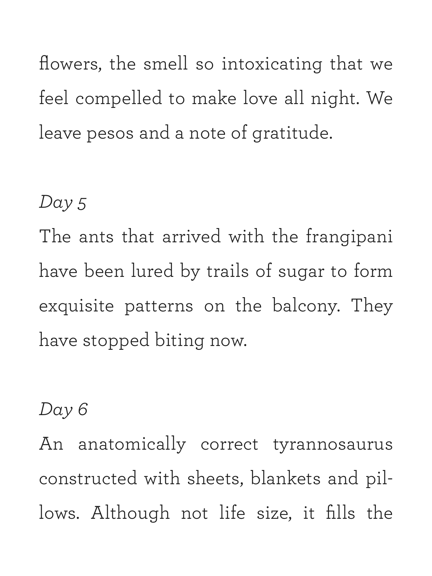flowers, the smell so intoxicating that we feel compelled to make love all night. We leave pesos and a note of gratitude.

*Day 5*

The ants that arrived with the frangipani have been lured by trails of sugar to form exquisite patterns on the balcony. They have stopped biting now.

*Day 6*

An anatomically correct tyrannosaurus constructed with sheets, blankets and pillows. Although not life size, it fills the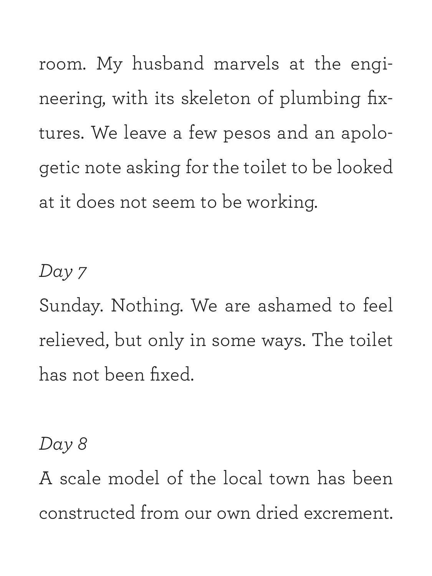room. My husband marvels at the engineering, with its skeleton of plumbing fixtures. We leave a few pesos and an apologetic note asking for the toilet to be looked at it does not seem to be working.

*Day 7*

Sunday. Nothing. We are ashamed to feel relieved, but only in some ways. The toilet has not been fixed.

*Day 8*

A scale model of the local town has been constructed from our own dried excrement.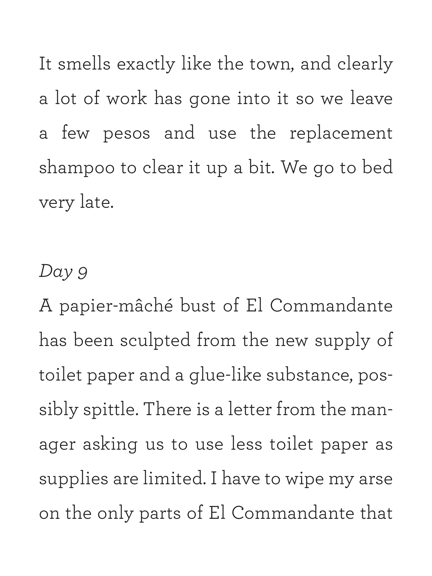It smells exactly like the town, and clearly a lot of work has gone into it so we leave a few pesos and use the replacement shampoo to clear it up a bit. We go to bed very late.

#### *Day 9*

A papier-mâché bust of El Commandante has been sculpted from the new supply of toilet paper and a glue-like substance, possibly spittle. There is a letter from the manager asking us to use less toilet paper as supplies are limited. I have to wipe my arse on the only parts of El Commandante that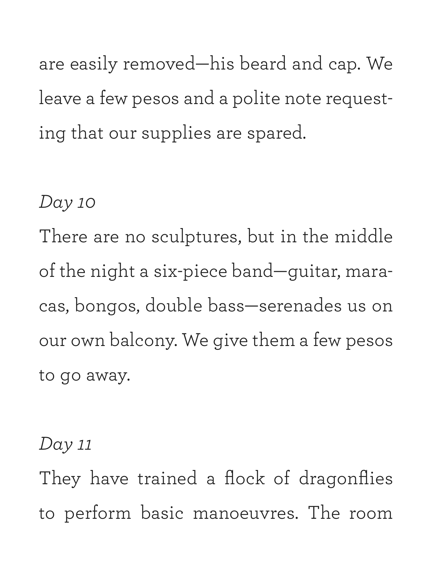are easily removed—his beard and cap. We leave a few pesos and a polite note requesting that our supplies are spared.

*Day 10*

There are no sculptures, but in the middle of the night a six-piece band—guitar, maracas, bongos, double bass—serenades us on our own balcony. We give them a few pesos to go away.

*Day 11*

They have trained a flock of dragonflies to perform basic manoeuvres. The room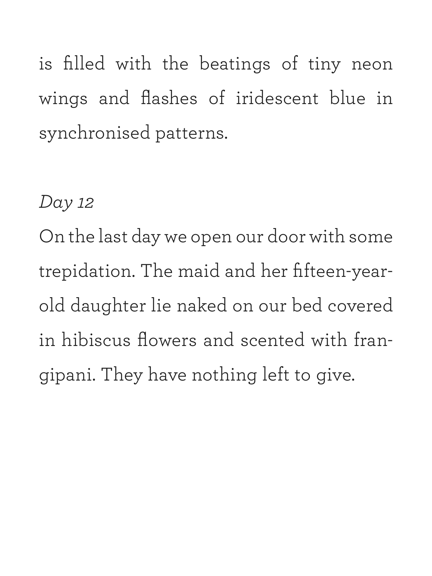is filled with the beatings of tiny neon wings and flashes of iridescent blue in synchronised patterns.

*Day 12*

On the last day we open our door with some trepidation. The maid and her fifteen-yearold daughter lie naked on our bed covered in hibiscus flowers and scented with frangipani. They have nothing left to give.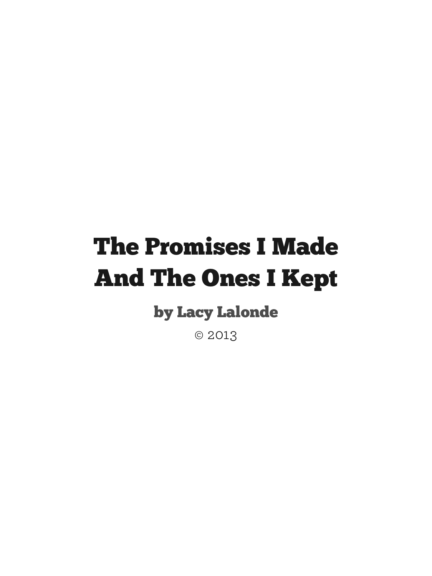# The Promises I Made And The Ones I Kept

by Lacy Lalonde

© 2013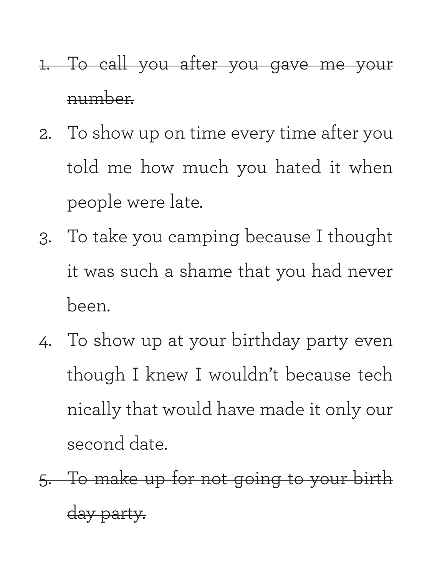- 1. To call you after you gave me your number.
- 2. To show up on time every time after you told me how much you hated it when people were late.
- 3. To take you camping because I thought it was such a shame that you had never been.
- 4. To show up at your birthday party even though I knew I wouldn't because tech nically that would have made it only our second date.
- 5. To make up for not going to your birth day party.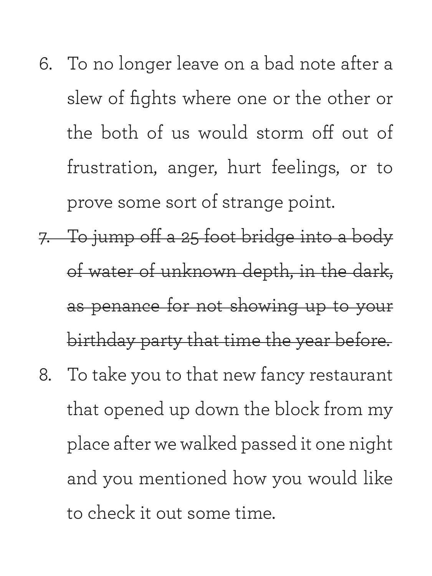- 6. To no longer leave on a bad note after a slew of fights where one or the other or the both of us would storm off out of frustration, anger, hurt feelings, or to prove some sort of strange point.
- 7. To jump off a 25 foot bridge into a body of water of unknown depth, in the dark, as penance for not showing up to your birthday party that time the year before.
- 8. To take you to that new fancy restaurant that opened up down the block from my place after we walked passed it one night and you mentioned how you would like to check it out some time.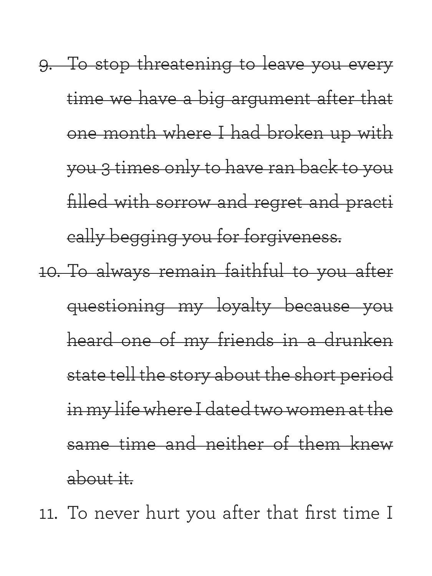9. To stop threatening to leave you every time we have a big argument after that one month where I had broken up with you 3 times only to have ran back to you filled with sorrow and regret and practi cally begging you for forgiveness. 10. To always remain faithful to you after questioning my loyalty because you heard one of my friends in a drunken state tell the story about the short period in my life where I dated two women at the same time and neither of them knew about it.

11. To never hurt you after that first time I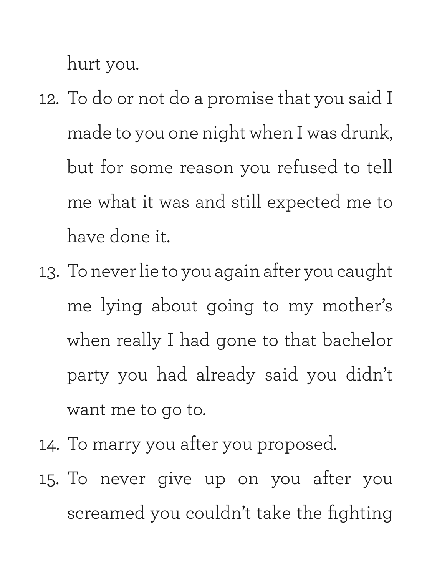hurt you.

- 12. To do or not do a promise that you said I made to you one night when I was drunk, but for some reason you refused to tell me what it was and still expected me to have done it.
- 13. To never lie to you again after you caught me lying about going to my mother's when really I had gone to that bachelor party you had already said you didn't want me to go to.
- 14. To marry you after you proposed.
- 15. To never give up on you after you screamed you couldn't take the fighting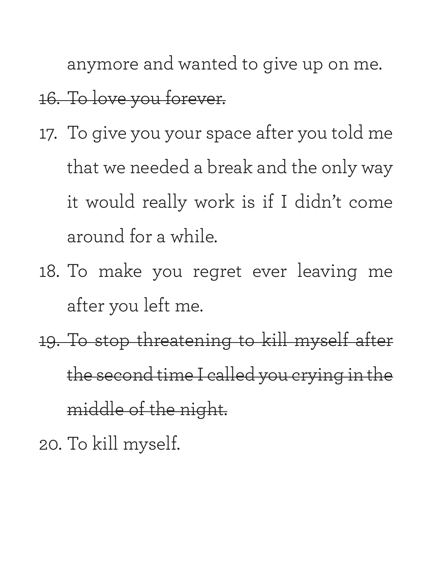anymore and wanted to give up on me. 16. To love you forever.

- 17. To give you your space after you told me that we needed a break and the only way it would really work is if I didn't come around for a while.
- 18. To make you regret ever leaving me after you left me.
- 19. To stop threatening to kill myself after the second time I called you crying in the middle of the night. 20. To kill myself.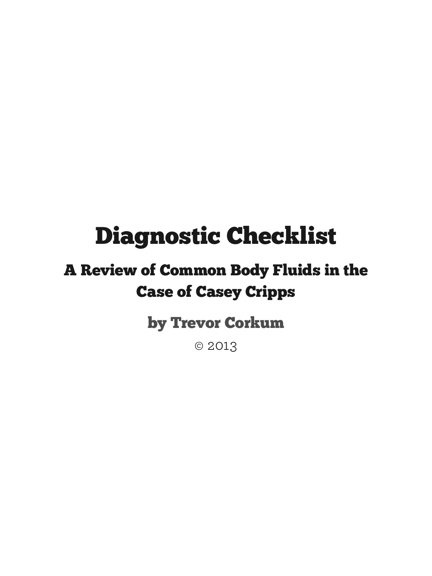# Diagnostic Checklist

### A Review of Common Body Fluids in the Case of Casey Cripps

by Trevor Corkum

© 2013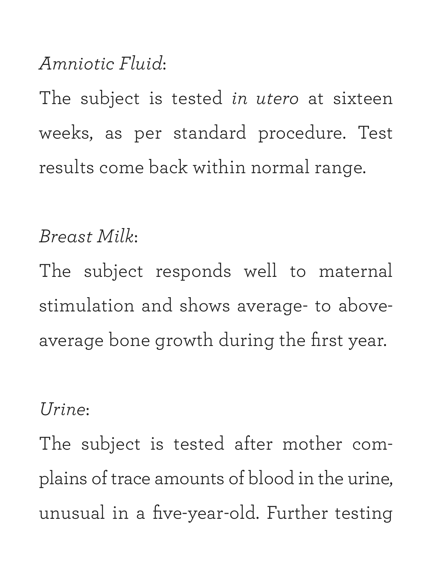## *Amniotic Fluid*:

The subject is tested *in utero* at sixteen weeks, as per standard procedure. Test results come back within normal range.

#### *Breast Milk*:

The subject responds well to maternal stimulation and shows average- to aboveaverage bone growth during the first year.

#### *Urine*:

The subject is tested after mother complains of trace amounts of blood in the urine, unusual in a five-year-old. Further testing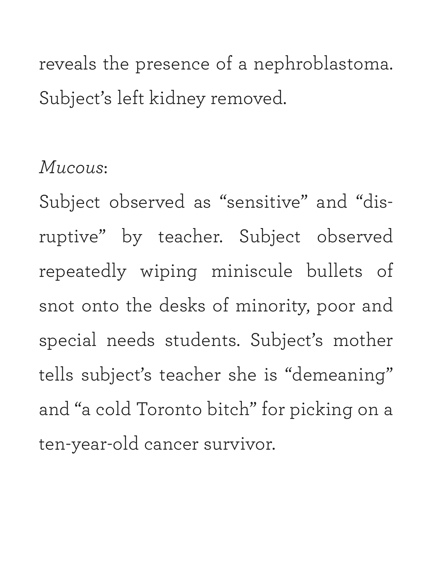reveals the presence of a nephroblastoma. Subject's left kidney removed.

## *Mucous*:

Subject observed as "sensitive" and "disruptive" by teacher. Subject observed repeatedly wiping miniscule bullets of snot onto the desks of minority, poor and special needs students. Subject's mother tells subject's teacher she is "demeaning" and "a cold Toronto bitch" for picking on a ten-year-old cancer survivor.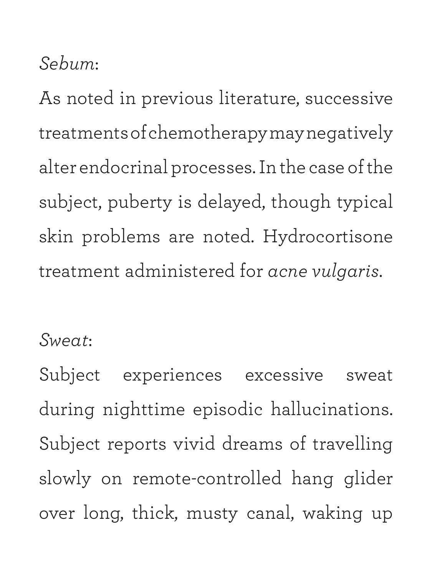## *Sebum*:

As noted in previous literature, successive treatments of chemotherapy may negatively alter endocrinal processes. In the case of the subject, puberty is delayed, though typical skin problems are noted. Hydrocortisone treatment administered for *acne vulgaris*.

#### *Sweat*:

Subject experiences excessive sweat during nighttime episodic hallucinations. Subject reports vivid dreams of travelling slowly on remote-controlled hang glider over long, thick, musty canal, waking up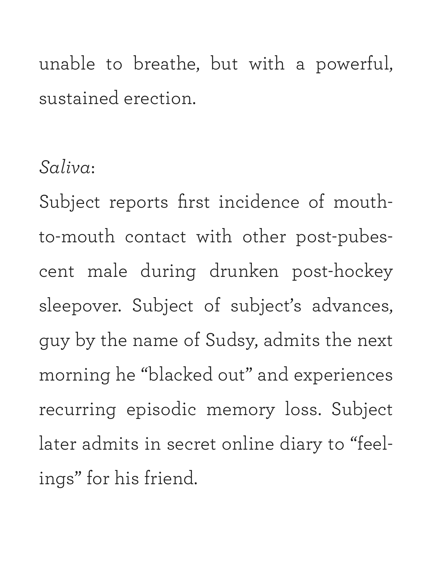unable to breathe, but with a powerful, sustained erection.

## *Saliva*:

Subject reports first incidence of mouthto-mouth contact with other post-pubescent male during drunken post-hockey sleepover. Subject of subject's advances, guy by the name of Sudsy, admits the next morning he "blacked out" and experiences recurring episodic memory loss. Subject later admits in secret online diary to "feelings" for his friend.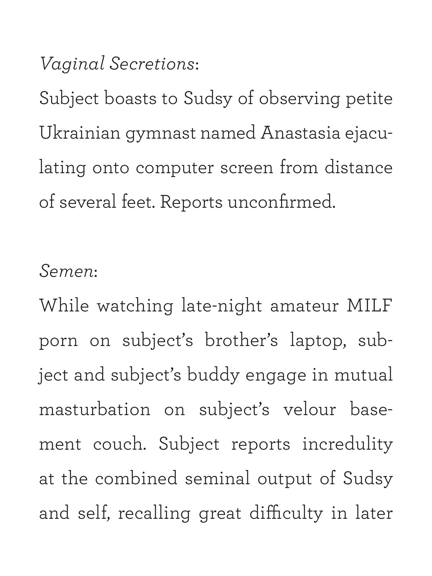*Vaginal Secretions*:

Subject boasts to Sudsy of observing petite Ukrainian gymnast named Anastasia ejaculating onto computer screen from distance of several feet. Reports unconfirmed.

#### *Semen*:

While watching late-night amateur MILF porn on subject's brother's laptop, subject and subject's buddy engage in mutual masturbation on subject's velour basement couch. Subject reports incredulity at the combined seminal output of Sudsy and self, recalling great difficulty in later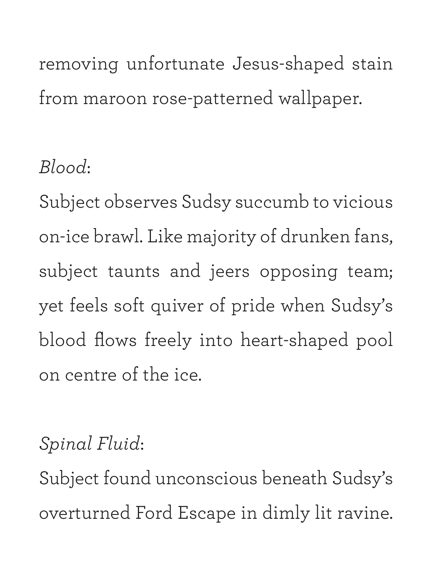removing unfortunate Jesus-shaped stain from maroon rose-patterned wallpaper.

# *Blood*:

Subject observes Sudsy succumb to vicious on-ice brawl. Like majority of drunken fans, subject taunts and jeers opposing team; yet feels soft quiver of pride when Sudsy's blood flows freely into heart-shaped pool on centre of the ice.

*Spinal Fluid*:

Subject found unconscious beneath Sudsy's overturned Ford Escape in dimly lit ravine.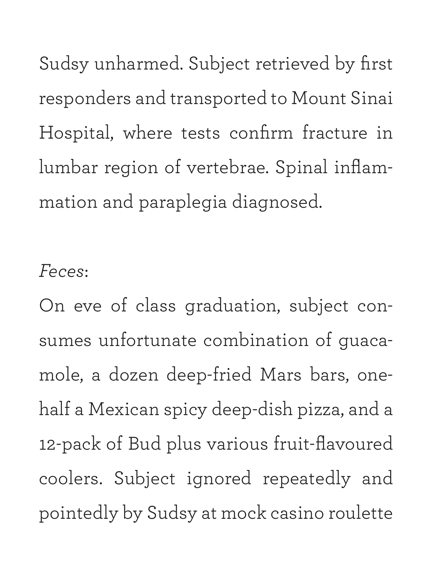Sudsy unharmed. Subject retrieved by first responders and transported to Mount Sinai Hospital, where tests confirm fracture in lumbar region of vertebrae. Spinal inflammation and paraplegia diagnosed.

#### *Feces*:

On eve of class graduation, subject consumes unfortunate combination of guacamole, a dozen deep-fried Mars bars, onehalf a Mexican spicy deep-dish pizza, and a 12-pack of Bud plus various fruit-flavoured coolers. Subject ignored repeatedly and pointedly by Sudsy at mock casino roulette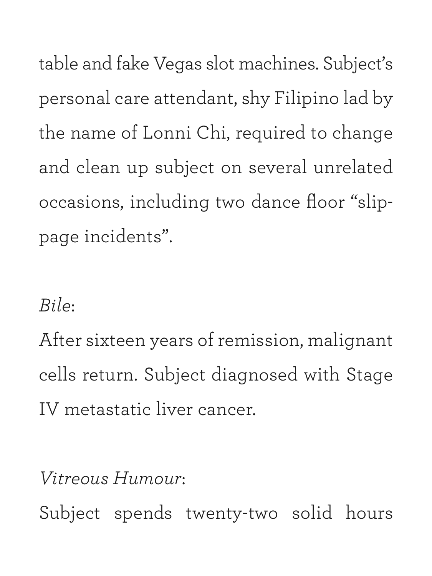table and fake Vegas slot machines. Subject's personal care attendant, shy Filipino lad by the name of Lonni Chi, required to change and clean up subject on several unrelated occasions, including two dance floor "slippage incidents".

*Bile*:

After sixteen years of remission, malignant cells return. Subject diagnosed with Stage IV metastatic liver cancer.

*Vitreous Humour*:

Subject spends twenty-two solid hours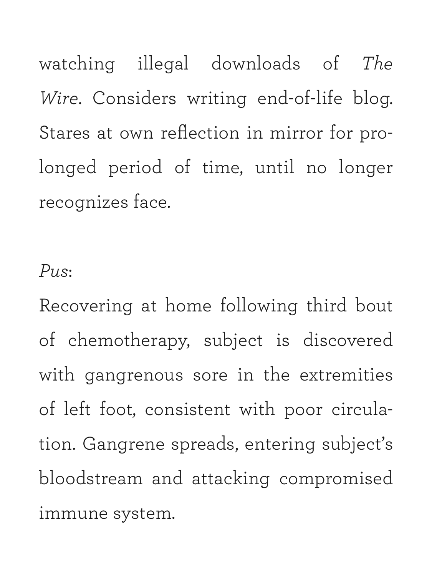watching illegal downloads of *The Wire*. Considers writing end-of-life blog. Stares at own reflection in mirror for prolonged period of time, until no longer recognizes face.

#### *Pus*:

Recovering at home following third bout of chemotherapy, subject is discovered with gangrenous sore in the extremities of left foot, consistent with poor circulation. Gangrene spreads, entering subject's bloodstream and attacking compromised immune system.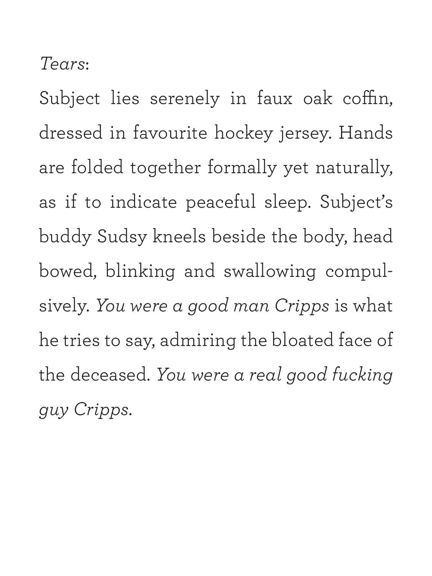### *Tears*:

Subject lies serenely in faux oak coffin, dressed in favourite hockey jersey. Hands are folded together formally yet naturally, as if to indicate peaceful sleep. Subject's buddy Sudsy kneels beside the body, head bowed, blinking and swallowing compulsively. *You were a good man Cripps* is what he tries to say, admiring the bloated face of the deceased. *You were a real good fucking guy Cripps*.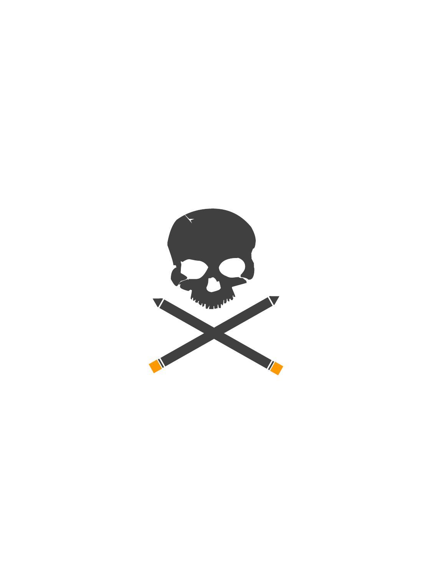